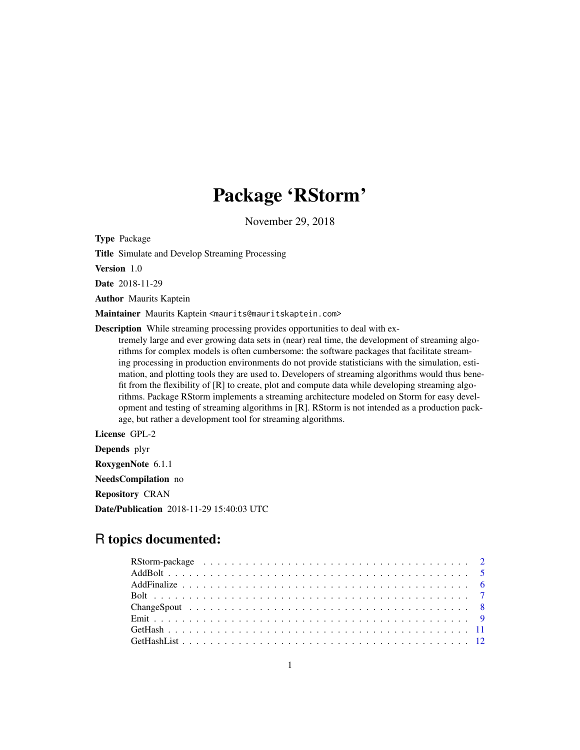# Package 'RStorm'

November 29, 2018

<span id="page-0-0"></span>Type Package

Title Simulate and Develop Streaming Processing

Version 1.0

Date 2018-11-29

Author Maurits Kaptein

Maintainer Maurits Kaptein <maurits@mauritskaptein.com>

Description While streaming processing provides opportunities to deal with ex-

tremely large and ever growing data sets in (near) real time, the development of streaming algorithms for complex models is often cumbersome: the software packages that facilitate streaming processing in production environments do not provide statisticians with the simulation, estimation, and plotting tools they are used to. Developers of streaming algorithms would thus benefit from the flexibility of [R] to create, plot and compute data while developing streaming algorithms. Package RStorm implements a streaming architecture modeled on Storm for easy development and testing of streaming algorithms in [R]. RStorm is not intended as a production package, but rather a development tool for streaming algorithms.

License GPL-2

Depends plyr RoxygenNote 6.1.1 NeedsCompilation no Repository CRAN Date/Publication 2018-11-29 15:40:03 UTC

# R topics documented: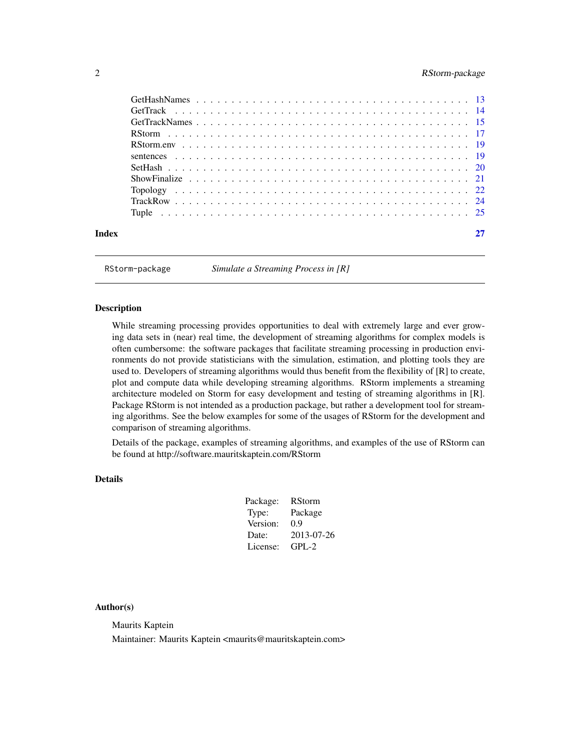# <span id="page-1-0"></span>2 RStorm-package

| Index |  |  |
|-------|--|--|

RStorm-package *Simulate a Streaming Process in [R]*

# Description

While streaming processing provides opportunities to deal with extremely large and ever growing data sets in (near) real time, the development of streaming algorithms for complex models is often cumbersome: the software packages that facilitate streaming processing in production environments do not provide statisticians with the simulation, estimation, and plotting tools they are used to. Developers of streaming algorithms would thus benefit from the flexibility of [R] to create, plot and compute data while developing streaming algorithms. RStorm implements a streaming architecture modeled on Storm for easy development and testing of streaming algorithms in [R]. Package RStorm is not intended as a production package, but rather a development tool for streaming algorithms. See the below examples for some of the usages of RStorm for the development and comparison of streaming algorithms.

Details of the package, examples of streaming algorithms, and examples of the use of RStorm can be found at http://software.mauritskaptein.com/RStorm

# Details

| Package: | <b>RStorm</b> |
|----------|---------------|
| Type:    | Package       |
| Version: | 0.9           |
| Date:    | 2013-07-26    |
| License: | $GPL-2$       |

#### Author(s)

Maurits Kaptein

Maintainer: Maurits Kaptein <maurits@mauritskaptein.com>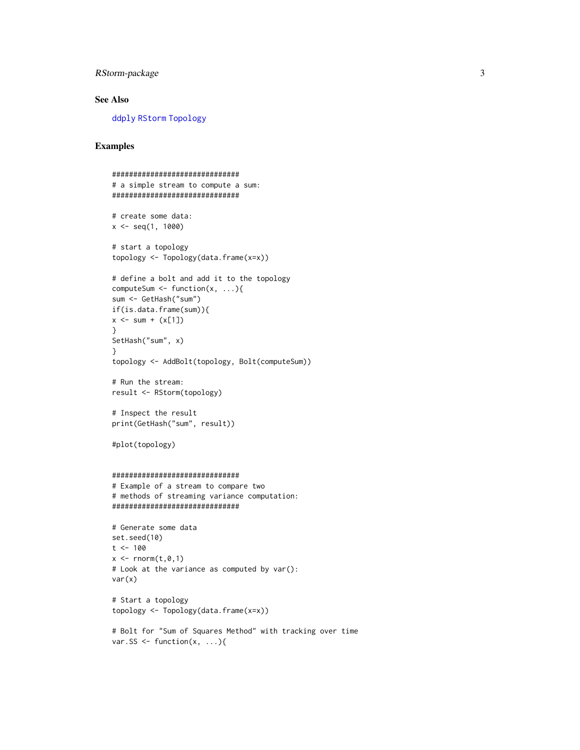# <span id="page-2-0"></span>RStorm-package 3

# See Also

[ddply](#page-0-0) [RStorm](#page-16-1) [Topology](#page-21-1)

```
##############################
# a simple stream to compute a sum:
##############################
# create some data:
x \leq - seq(1, 1000)
# start a topology
topology <- Topology(data.frame(x=x))
# define a bolt and add it to the topology
computeSum \leq function(x, ...){
sum <- GetHash("sum")
if(is.data.frame(sum)){
x \le - sum + (x[1])}
SetHash("sum", x)
}
topology <- AddBolt(topology, Bolt(computeSum))
# Run the stream:
result <- RStorm(topology)
# Inspect the result
print(GetHash("sum", result))
#plot(topology)
##############################
# Example of a stream to compare two
# methods of streaming variance computation:
##############################
# Generate some data
set.seed(10)
t < -100x \leftarrow \text{norm}(t, \emptyset, 1)# Look at the variance as computed by var():
var(x)
# Start a topology
topology <- Topology(data.frame(x=x))
# Bolt for "Sum of Squares Method" with tracking over time
var.SS <- function(x, \ldots){
```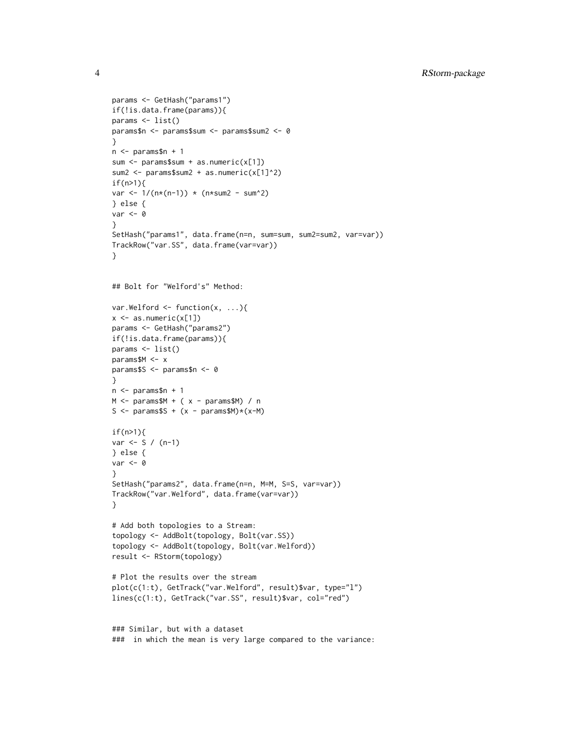```
params <- GetHash("params1")
if(!is.data.frame(params)){
params <- list()
params$n <- params$sum <- params$sum2 <- 0
}
n <- params$n + 1
sum <- params$sum + as.numeric(x[1])
sum2 <- params$sum2 + as.numeric(x[1]^2)
if(n>1)var <- 1/(n*(n-1)) * (n*sum2 - sum^2)} else {
var <- 0
}
SetHash("params1", data.frame(n=n, sum=sum, sum2=sum2, var=var))
TrackRow("var.SS", data.frame(var=var))
}
## Bolt for "Welford's" Method:
var.Welford \leq function(x, ...){
x \leftarrow as.numeric(x[1])params <- GetHash("params2")
if(!is.data.frame(params)){
params <- list()
params$M <- x
params$S <- params$n <- 0
}
n <- params$n + 1
M \leftarrow params$M + (x - params$M) / n
S <- params$S + (x - \text{params}M)*(x - M)if(n>1){
var <- S / (n-1)
} else {
var < -0}
SetHash("params2", data.frame(n=n, M=M, S=S, var=var))
TrackRow("var.Welford", data.frame(var=var))
}
# Add both topologies to a Stream:
topology <- AddBolt(topology, Bolt(var.SS))
topology <- AddBolt(topology, Bolt(var.Welford))
result <- RStorm(topology)
# Plot the results over the stream
plot(c(1:t), GetTrack("var.Welford", result)$var, type="l")
lines(c(1:t), GetTrack("var.SS", result)$var, col="red")
### Similar, but with a dataset
```
### in which the mean is very large compared to the variance: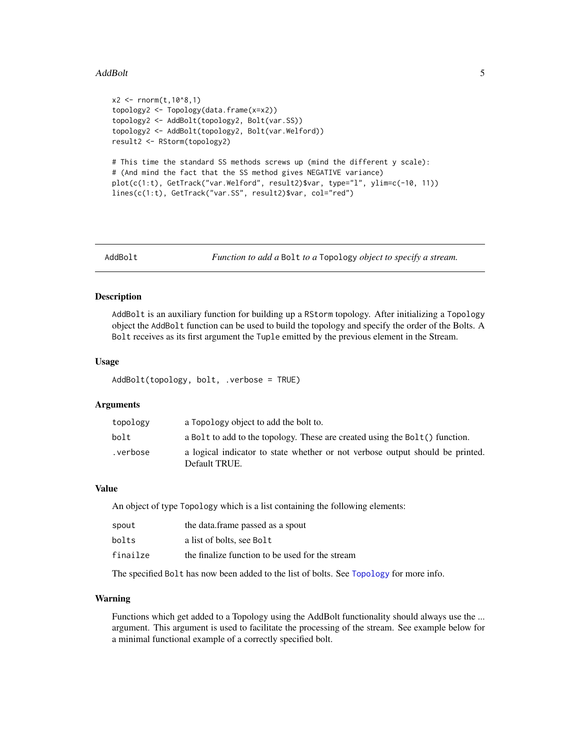#### <span id="page-4-0"></span>AddBolt 5

```
x2 \le rnorm(t, 10^8, 1)
topology2 <- Topology(data.frame(x=x2))
topology2 <- AddBolt(topology2, Bolt(var.SS))
topology2 <- AddBolt(topology2, Bolt(var.Welford))
result2 <- RStorm(topology2)
# This time the standard SS methods screws up (mind the different y scale):
# (And mind the fact that the SS method gives NEGATIVE variance)
plot(c(1:t), GetTrack("var.Welford", result2)$var, type="l", ylim=c(-10, 11))
lines(c(1:t), GetTrack("var.SS", result2)$var, col="red")
```
<span id="page-4-1"></span>

AddBolt *Function to add a* Bolt *to a* Topology *object to specify a stream.*

# Description

AddBolt is an auxiliary function for building up a RStorm topology. After initializing a Topology object the AddBolt function can be used to build the topology and specify the order of the Bolts. A Bolt receives as its first argument the Tuple emitted by the previous element in the Stream.

#### Usage

AddBolt(topology, bolt, .verbose = TRUE)

#### Arguments

| topology | a Topology object to add the bolt to.                                                          |
|----------|------------------------------------------------------------------------------------------------|
| bolt     | a Bolt to add to the topology. These are created using the $Bolt()$ function.                  |
| .verbose | a logical indicator to state whether or not verbose output should be printed.<br>Default TRUE. |

#### Value

An object of type Topology which is a list containing the following elements:

| spout    | the data.frame passed as a spout                |
|----------|-------------------------------------------------|
| bolts    | a list of bolts, see Bolt                       |
| finailze | the finalize function to be used for the stream |

The specified Bolt has now been added to the list of bolts. See [Topology](#page-21-1) for more info.

### Warning

Functions which get added to a Topology using the AddBolt functionality should always use the ... argument. This argument is used to facilitate the processing of the stream. See example below for a minimal functional example of a correctly specified bolt.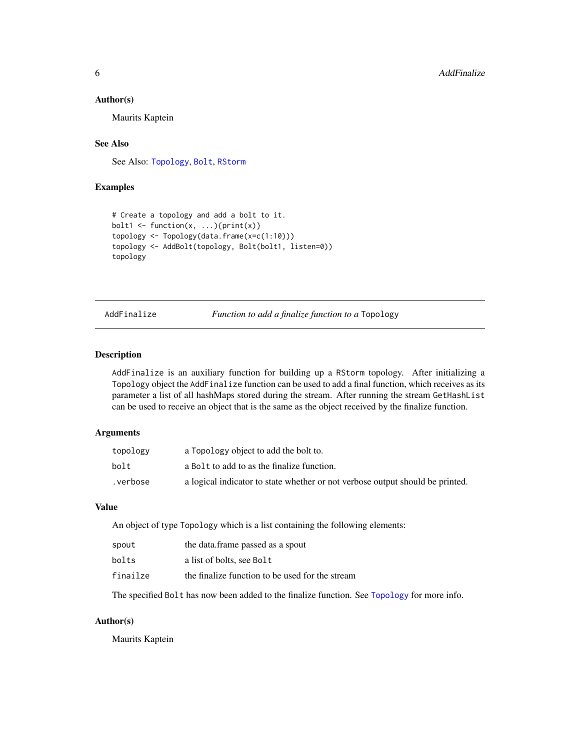#### <span id="page-5-0"></span>Author(s)

Maurits Kaptein

### See Also

See Also: [Topology](#page-21-1), [Bolt](#page-6-1), [RStorm](#page-16-1)

# Examples

```
# Create a topology and add a bolt to it.
bolt1 <- function(x, \ldots){print(x)}
topology <- Topology(data.frame(x=c(1:10)))
topology <- AddBolt(topology, Bolt(bolt1, listen=0))
topology
```
AddFinalize *Function to add a finalize function to a* Topology

# Description

AddFinalize is an auxiliary function for building up a RStorm topology. After initializing a Topology object the AddFinalize function can be used to add a final function, which receives as its parameter a list of all hashMaps stored during the stream. After running the stream GetHashList can be used to receive an object that is the same as the object received by the finalize function.

# Arguments

| topology | a Topology object to add the bolt to.                                         |
|----------|-------------------------------------------------------------------------------|
| bolt     | a Bolt to add to as the finalize function.                                    |
| .verbose | a logical indicator to state whether or not verbose output should be printed. |

#### Value

An object of type Topology which is a list containing the following elements:

| spout    | the data.frame passed as a spout                |
|----------|-------------------------------------------------|
| bolts    | a list of bolts, see Bolt                       |
| finailze | the finalize function to be used for the stream |

The specified Bolt has now been added to the finalize function. See [Topology](#page-21-1) for more info.

# Author(s)

Maurits Kaptein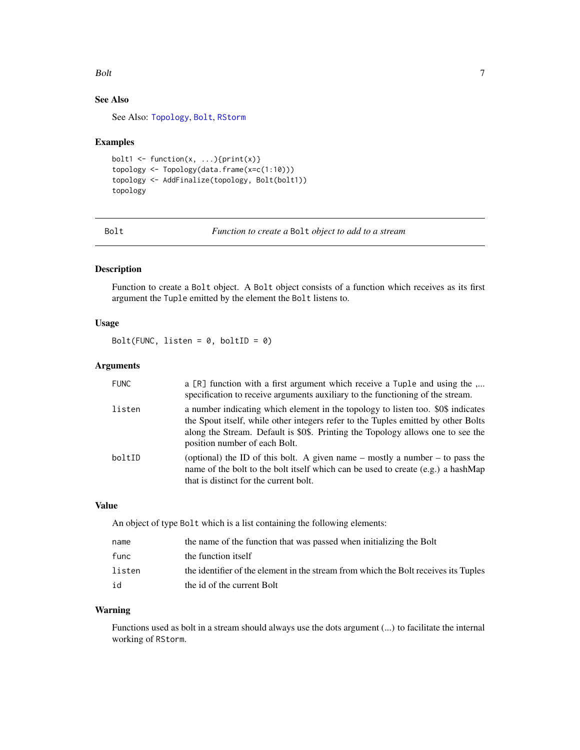#### <span id="page-6-0"></span>Bolt 2008 and 2008 and 2008 and 2008 and 2008 and 2008 and 2008 and 2008 and 2008 and 2008 and 2008 and 2008 and 2008 and 2008 and 2008 and 2008 and 2008 and 2008 and 2008 and 2008 and 2008 and 2008 and 2008 and 2008 and 2

# See Also

See Also: [Topology](#page-21-1), [Bolt](#page-6-1), [RStorm](#page-16-1)

#### Examples

```
bolt1 <- function(x, \ldots){print(x)}
topology <- Topology(data.frame(x=c(1:10)))
topology <- AddFinalize(topology, Bolt(bolt1))
topology
```
<span id="page-6-1"></span>Bolt *Function to create a* Bolt *object to add to a stream*

### Description

Function to create a Bolt object. A Bolt object consists of a function which receives as its first argument the Tuple emitted by the element the Bolt listens to.

# Usage

Bolt(FUNC, listen =  $0$ , boltID =  $0$ )

# Arguments

| <b>FUNC</b> | a [R] function with a first argument which receive a Tuple and using the<br>specification to receive arguments auxiliary to the functioning of the stream.                                                                                                                                |
|-------------|-------------------------------------------------------------------------------------------------------------------------------------------------------------------------------------------------------------------------------------------------------------------------------------------|
| listen      | a number indicating which element in the topology to listen too. \$0\$ indicates<br>the Spout itself, while other integers refer to the Tuples emitted by other Bolts<br>along the Stream. Default is \$0\$. Printing the Topology allows one to see the<br>position number of each Bolt. |
| boltID      | (optional) the ID of this bolt. A given name – mostly a number – to pass the<br>name of the bolt to the bolt itself which can be used to create (e.g.) a hashMap<br>that is distinct for the current bolt.                                                                                |

# Value

An object of type Bolt which is a list containing the following elements:

| name   | the name of the function that was passed when initializing the Bolt                 |
|--------|-------------------------------------------------------------------------------------|
| func   | the function itself                                                                 |
| listen | the identifier of the element in the stream from which the Bolt receives its Tuples |
| id     | the id of the current Bolt                                                          |

# Warning

Functions used as bolt in a stream should always use the dots argument (...) to facilitate the internal working of RStorm.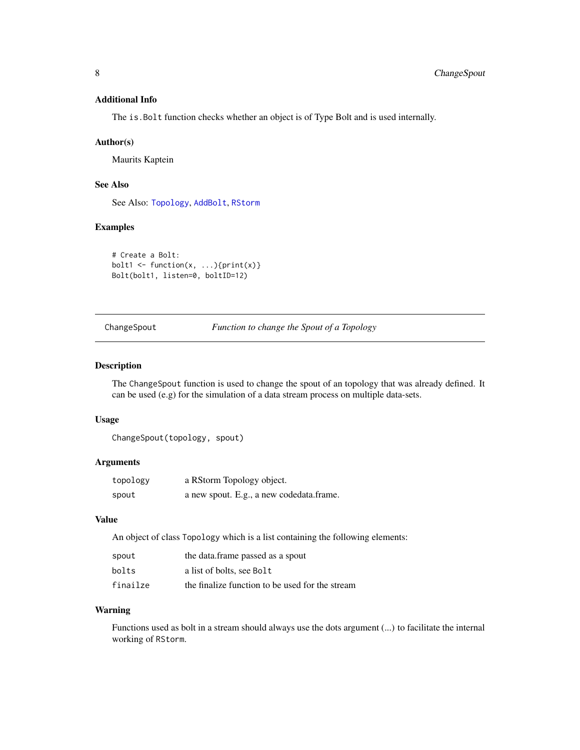# <span id="page-7-0"></span>Additional Info

The is.Bolt function checks whether an object is of Type Bolt and is used internally.

#### Author(s)

Maurits Kaptein

#### See Also

See Also: [Topology](#page-21-1), [AddBolt](#page-4-1), [RStorm](#page-16-1)

#### Examples

```
# Create a Bolt:
bolt1 <- function(x, ...){print(x)}
Bolt(bolt1, listen=0, boltID=12)
```
ChangeSpout *Function to change the Spout of a Topology*

# Description

The ChangeSpout function is used to change the spout of an topology that was already defined. It can be used (e.g) for the simulation of a data stream process on multiple data-sets.

#### Usage

```
ChangeSpout(topology, spout)
```
#### Arguments

| topology | a RStorm Topology object.                |
|----------|------------------------------------------|
| spout    | a new spout. E.g., a new codedata.frame. |

#### Value

An object of class Topology which is a list containing the following elements:

| spout    | the data.frame passed as a spout                |
|----------|-------------------------------------------------|
| bolts    | a list of bolts, see Bolt                       |
| finailze | the finalize function to be used for the stream |

# Warning

Functions used as bolt in a stream should always use the dots argument (...) to facilitate the internal working of RStorm.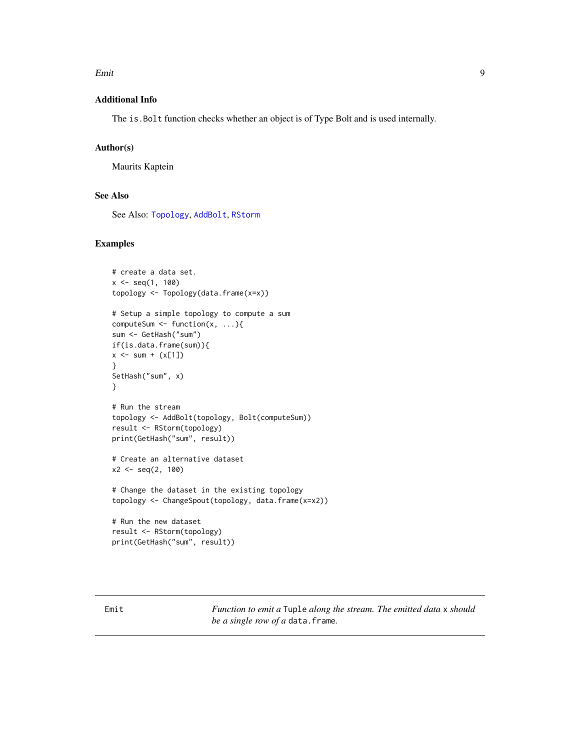#### <span id="page-8-0"></span>Emit 9

# Additional Info

The is.Bolt function checks whether an object is of Type Bolt and is used internally.

#### Author(s)

Maurits Kaptein

# See Also

See Also: [Topology](#page-21-1), [AddBolt](#page-4-1), [RStorm](#page-16-1)

#### Examples

```
# create a data set.
x \leq -\text{seq}(1, 100)topology <- Topology(data.frame(x=x))
# Setup a simple topology to compute a sum
computeSum \leq function(x, ...){
sum <- GetHash("sum")
if(is.data.frame(sum)){
x \le - \text{ sum } + (x[1])}
SetHash("sum", x)
}
# Run the stream
topology <- AddBolt(topology, Bolt(computeSum))
result <- RStorm(topology)
print(GetHash("sum", result))
# Create an alternative dataset
x2 \leq -\text{seq}(2, 100)# Change the dataset in the existing topology
topology <- ChangeSpout(topology, data.frame(x=x2))
# Run the new dataset
result <- RStorm(topology)
print(GetHash("sum", result))
```
<span id="page-8-1"></span>Emit *Function to emit a* Tuple *along the stream. The emitted data* x *should be a single row of a* data.frame*.*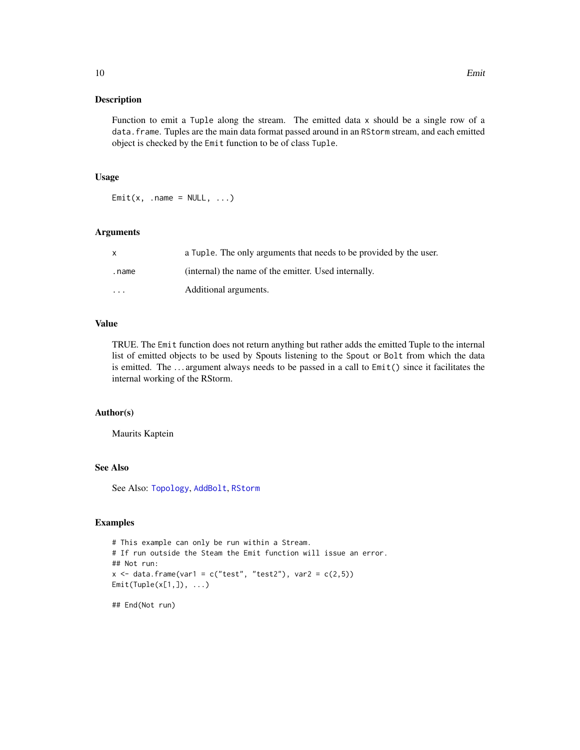<span id="page-9-0"></span>Function to emit a Tuple along the stream. The emitted data x should be a single row of a data.frame. Tuples are the main data format passed around in an RStorm stream, and each emitted object is checked by the Emit function to be of class Tuple.

#### Usage

 $Emit(x, .name = NULL, . . .)$ 

#### Arguments

|          | a Tuple. The only arguments that needs to be provided by the user. |
|----------|--------------------------------------------------------------------|
| .name    | (internal) the name of the emitter. Used internally.               |
| $\cdots$ | Additional arguments.                                              |

# Value

TRUE. The Emit function does not return anything but rather adds the emitted Tuple to the internal list of emitted objects to be used by Spouts listening to the Spout or Bolt from which the data is emitted. The . . . argument always needs to be passed in a call to Emit() since it facilitates the internal working of the RStorm.

#### Author(s)

Maurits Kaptein

# See Also

See Also: [Topology](#page-21-1), [AddBolt](#page-4-1), [RStorm](#page-16-1)

#### Examples

```
# This example can only be run within a Stream.
# If run outside the Steam the Emit function will issue an error.
## Not run:
x \le - data.frame(var1 = c("test", "test2"), var2 = c(2,5))
Emit(Tuple(x[1,]), ...)
```
## End(Not run)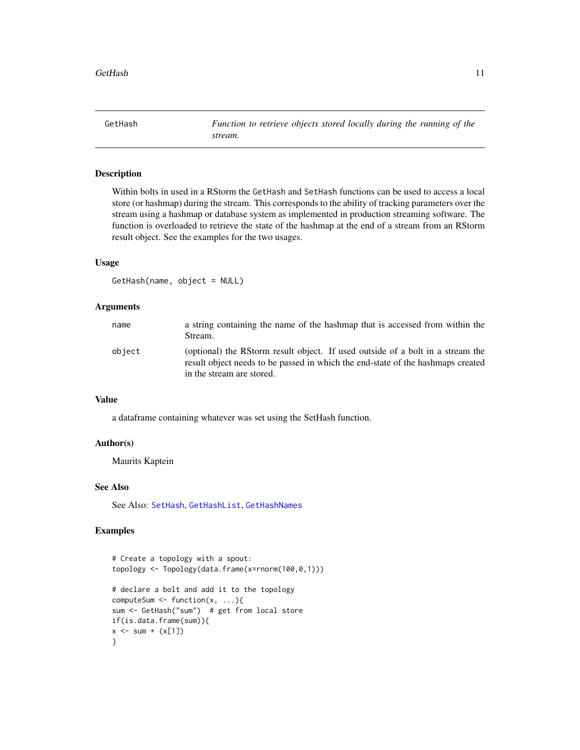<span id="page-10-1"></span><span id="page-10-0"></span>GetHash *Function to retrieve objects stored locally during the running of the stream.*

# Description

Within bolts in used in a RStorm the GetHash and SetHash functions can be used to access a local store (or hashmap) during the stream. This corresponds to the ability of tracking parameters over the stream using a hashmap or database system as implemented in production streaming software. The function is overloaded to retrieve the state of the hashmap at the end of a stream from an RStorm result object. See the examples for the two usages.

#### Usage

GetHash(name, object = NULL)

# Arguments

| name   | a string containing the name of the hashmap that is accessed from within the<br>Stream.                                                                                                        |
|--------|------------------------------------------------------------------------------------------------------------------------------------------------------------------------------------------------|
| object | (optional) the RStorm result object. If used outside of a bolt in a stream the<br>result object needs to be passed in which the end-state of the hashmaps created<br>in the stream are stored. |

#### Value

a dataframe containing whatever was set using the SetHash function.

# Author(s)

Maurits Kaptein

#### See Also

See Also: [SetHash](#page-19-1), [GetHashList](#page-11-1), [GetHashNames](#page-12-1)

```
# Create a topology with a spout:
topology <- Topology(data.frame(x=rnorm(100,0,1)))
# declare a bolt and add it to the topology
computeSum \leq function(x, ...){
sum <- GetHash("sum") # get from local store
if(is.data.frame(sum)){
x \le - \text{sum} + (x[1])}
```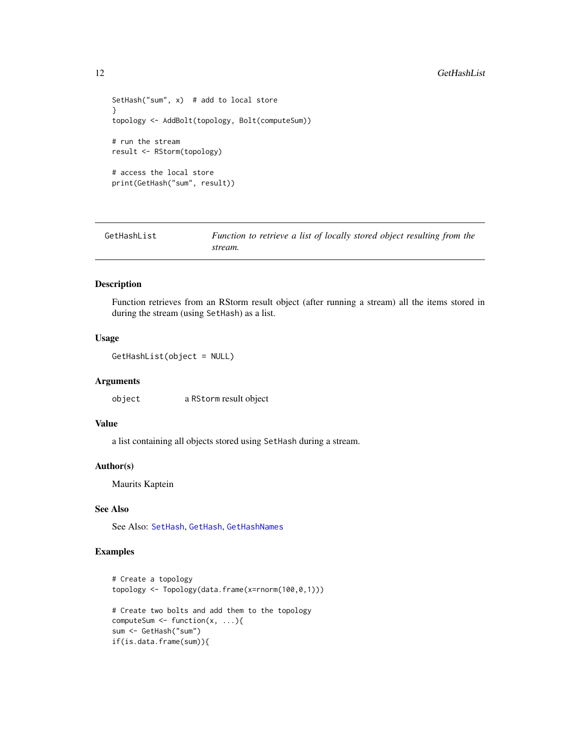```
SetHash("sum", x) # add to local store
}
topology <- AddBolt(topology, Bolt(computeSum))
# run the stream
result <- RStorm(topology)
# access the local store
print(GetHash("sum", result))
```
<span id="page-11-1"></span>GetHashList *Function to retrieve a list of locally stored object resulting from the stream.*

#### Description

Function retrieves from an RStorm result object (after running a stream) all the items stored in during the stream (using SetHash) as a list.

# Usage

GetHashList(object = NULL)

#### Arguments

object a RStorm result object

# Value

a list containing all objects stored using SetHash during a stream.

# Author(s)

Maurits Kaptein

# See Also

See Also: [SetHash](#page-19-1), [GetHash](#page-10-1), [GetHashNames](#page-12-1)

```
# Create a topology
topology <- Topology(data.frame(x=rnorm(100,0,1)))
# Create two bolts and add them to the topology
computeSum \leq function(x, ...){
sum <- GetHash("sum")
if(is.data.frame(sum)){
```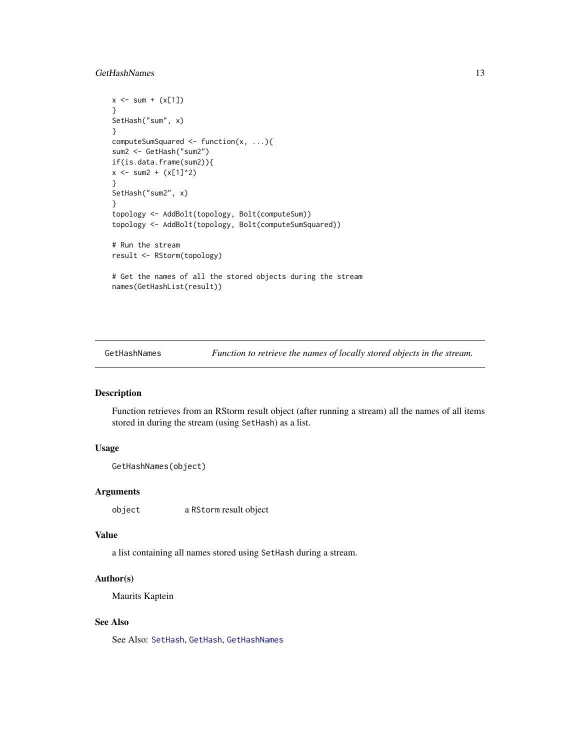# <span id="page-12-0"></span>GetHashNames 13

```
x \le - sum + (x[1])}
SetHash("sum", x)
}
computeSumSquared <- function(x, ...){
sum2 <- GetHash("sum2")
if(is.data.frame(sum2)){
x \le - \text{ sum2} + (x[1]^2)}
SetHash("sum2", x)
}
topology <- AddBolt(topology, Bolt(computeSum))
topology <- AddBolt(topology, Bolt(computeSumSquared))
# Run the stream
result <- RStorm(topology)
# Get the names of all the stored objects during the stream
names(GetHashList(result))
```
<span id="page-12-1"></span>GetHashNames *Function to retrieve the names of locally stored objects in the stream.*

#### Description

Function retrieves from an RStorm result object (after running a stream) all the names of all items stored in during the stream (using SetHash) as a list.

# Usage

```
GetHashNames(object)
```
#### Arguments

object a RStorm result object

#### Value

a list containing all names stored using SetHash during a stream.

# Author(s)

Maurits Kaptein

## See Also

See Also: [SetHash](#page-19-1), [GetHash](#page-10-1), [GetHashNames](#page-12-1)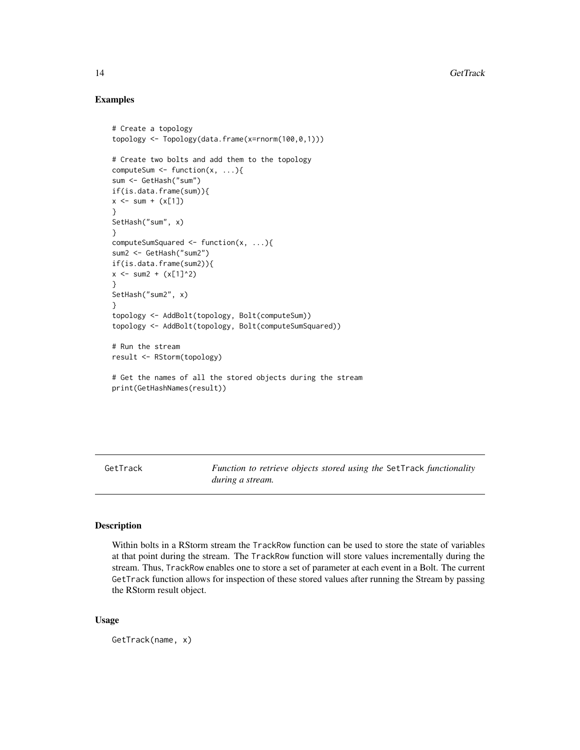#### Examples

```
# Create a topology
topology <- Topology(data.frame(x=rnorm(100,0,1)))
# Create two bolts and add them to the topology
computeSum \leq function(x, ...){
sum <- GetHash("sum")
if(is.data.frame(sum)){
x \le - \text{sum} + (x[1])}
SetHash("sum", x)
}
computeSumSquared <- function(x, ...){
sum2 <- GetHash("sum2")
if(is.data.frame(sum2)){
x \le - \text{ sum2} + (x[1]^2)}
SetHash("sum2", x)
}
topology <- AddBolt(topology, Bolt(computeSum))
topology <- AddBolt(topology, Bolt(computeSumSquared))
# Run the stream
result <- RStorm(topology)
# Get the names of all the stored objects during the stream
print(GetHashNames(result))
```
<span id="page-13-1"></span>GetTrack *Function to retrieve objects stored using the* SetTrack *functionality during a stream.*

# Description

Within bolts in a RStorm stream the TrackRow function can be used to store the state of variables at that point during the stream. The TrackRow function will store values incrementally during the stream. Thus, TrackRow enables one to store a set of parameter at each event in a Bolt. The current GetTrack function allows for inspection of these stored values after running the Stream by passing the RStorm result object.

#### Usage

GetTrack(name, x)

<span id="page-13-0"></span>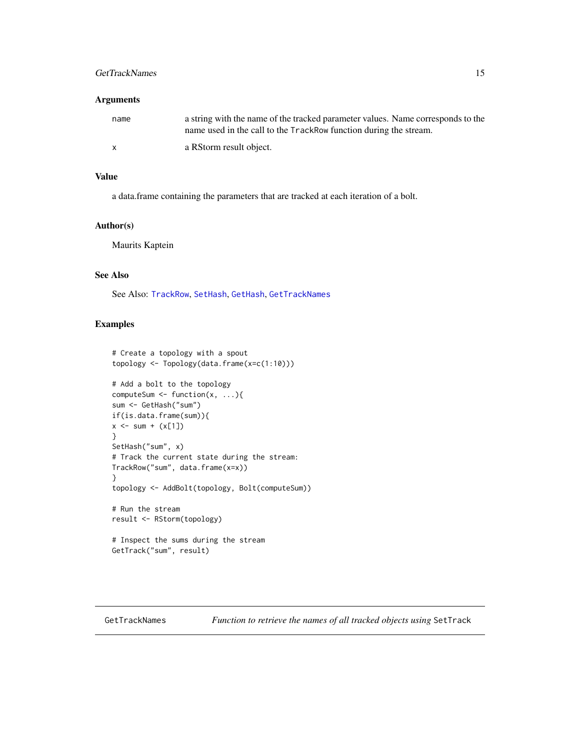# <span id="page-14-0"></span>GetTrackNames 15

# Arguments

| name | a string with the name of the tracked parameter values. Name corresponds to the<br>name used in the call to the TrackRow function during the stream. |
|------|------------------------------------------------------------------------------------------------------------------------------------------------------|
|      | a RStorm result object.                                                                                                                              |

# Value

a data.frame containing the parameters that are tracked at each iteration of a bolt.

# Author(s)

Maurits Kaptein

# See Also

See Also: [TrackRow](#page-23-1), [SetHash](#page-19-1), [GetHash](#page-10-1), [GetTrackNames](#page-14-1)

#### Examples

```
# Create a topology with a spout
topology <- Topology(data.frame(x=c(1:10)))
# Add a bolt to the topology
computeSum <- function(x, ...){
sum <- GetHash("sum")
if(is.data.frame(sum)){
x \le - \text{ sum } + (x[1])}
SetHash("sum", x)
# Track the current state during the stream:
TrackRow("sum", data.frame(x=x))
}
topology <- AddBolt(topology, Bolt(computeSum))
# Run the stream
result <- RStorm(topology)
# Inspect the sums during the stream
GetTrack("sum", result)
```
<span id="page-14-1"></span>GetTrackNames *Function to retrieve the names of all tracked objects using* SetTrack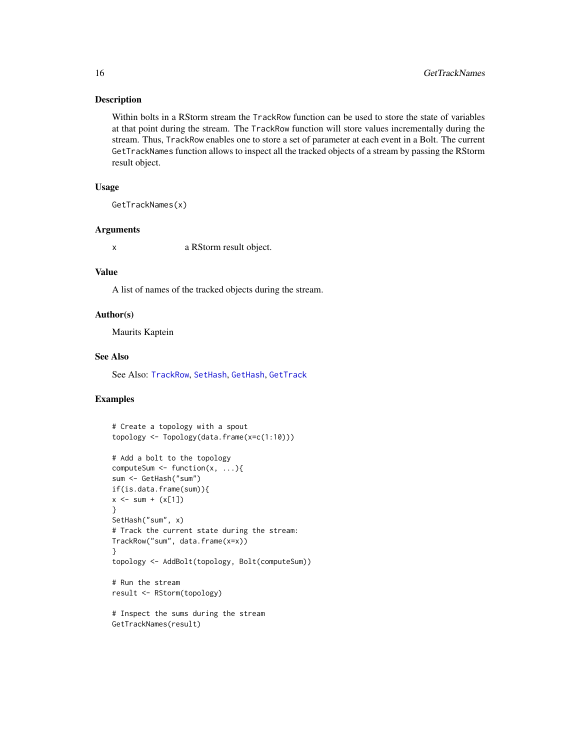Within bolts in a RStorm stream the TrackRow function can be used to store the state of variables at that point during the stream. The TrackRow function will store values incrementally during the stream. Thus, TrackRow enables one to store a set of parameter at each event in a Bolt. The current GetTrackNames function allows to inspect all the tracked objects of a stream by passing the RStorm result object.

### Usage

GetTrackNames(x)

#### Arguments

x a RStorm result object.

#### Value

A list of names of the tracked objects during the stream.

#### Author(s)

Maurits Kaptein

#### See Also

See Also: [TrackRow](#page-23-1), [SetHash](#page-19-1), [GetHash](#page-10-1), [GetTrack](#page-13-1)

```
# Create a topology with a spout
topology <- Topology(data.frame(x=c(1:10)))
# Add a bolt to the topology
computeSum \leq function(x, ...){
sum <- GetHash("sum")
if(is.data.frame(sum)){
x \le - sum + (x[1])}
SetHash("sum", x)
# Track the current state during the stream:
TrackRow("sum", data.frame(x=x))
}
topology <- AddBolt(topology, Bolt(computeSum))
# Run the stream
result <- RStorm(topology)
```

```
# Inspect the sums during the stream
GetTrackNames(result)
```
<span id="page-15-0"></span>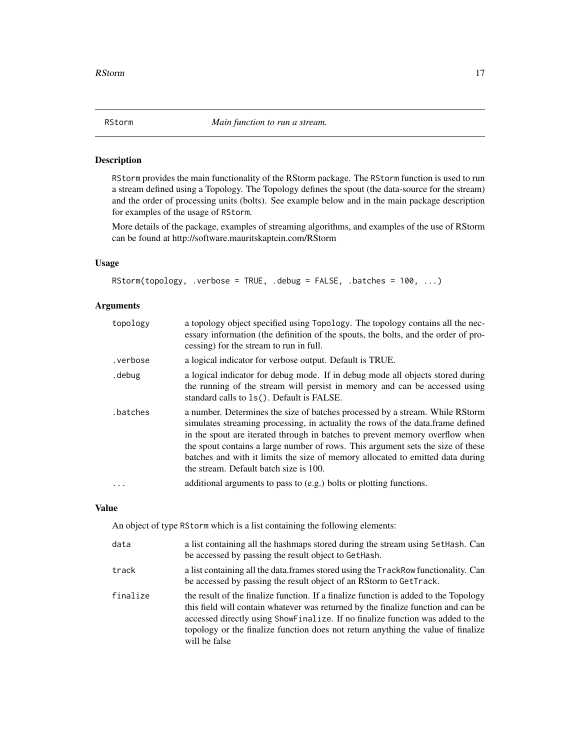<span id="page-16-1"></span><span id="page-16-0"></span>

RStorm provides the main functionality of the RStorm package. The RStorm function is used to run a stream defined using a Topology. The Topology defines the spout (the data-source for the stream) and the order of processing units (bolts). See example below and in the main package description for examples of the usage of RStorm.

More details of the package, examples of streaming algorithms, and examples of the use of RStorm can be found at http://software.mauritskaptein.com/RStorm

### Usage

RStorm(topology, .verbose = TRUE, .debug = FALSE, .batches = 100, ...)

#### Arguments

| topology | a topology object specified using Topology. The topology contains all the nec-<br>essary information (the definition of the spouts, the bolts, and the order of pro-<br>cessing) for the stream to run in full.                                                                                                                                                                                                                                                |
|----------|----------------------------------------------------------------------------------------------------------------------------------------------------------------------------------------------------------------------------------------------------------------------------------------------------------------------------------------------------------------------------------------------------------------------------------------------------------------|
| .verbose | a logical indicator for verbose output. Default is TRUE.                                                                                                                                                                                                                                                                                                                                                                                                       |
| . debug  | a logical indicator for debug mode. If in debug mode all objects stored during<br>the running of the stream will persist in memory and can be accessed using<br>standard calls to 1s(). Default is FALSE.                                                                                                                                                                                                                                                      |
| .batches | a number. Determines the size of batches processed by a stream. While RStorm<br>simulates streaming processing, in actuality the rows of the data.frame defined<br>in the spout are iterated through in batches to prevent memory overflow when<br>the spout contains a large number of rows. This argument sets the size of these<br>batches and with it limits the size of memory allocated to emitted data during<br>the stream. Default batch size is 100. |
|          | additional arguments to pass to (e.g.) bolts or plotting functions.                                                                                                                                                                                                                                                                                                                                                                                            |

# Value

An object of type RStorm which is a list containing the following elements:

| data     | a list containing all the hashmaps stored during the stream using SetHash. Can<br>be accessed by passing the result object to GetHash.                                                                                                                                                                                                                           |
|----------|------------------------------------------------------------------------------------------------------------------------------------------------------------------------------------------------------------------------------------------------------------------------------------------------------------------------------------------------------------------|
| track    | a list containing all the data. frames stored using the TrackRow functionality. Can<br>be accessed by passing the result object of an RStorm to GetTrack.                                                                                                                                                                                                        |
| finalize | the result of the finalize function. If a finalize function is added to the Topology<br>this field will contain whatever was returned by the finalize function and can be<br>accessed directly using ShowFinalize. If no finalize function was added to the<br>topology or the finalize function does not return anything the value of finalize<br>will be false |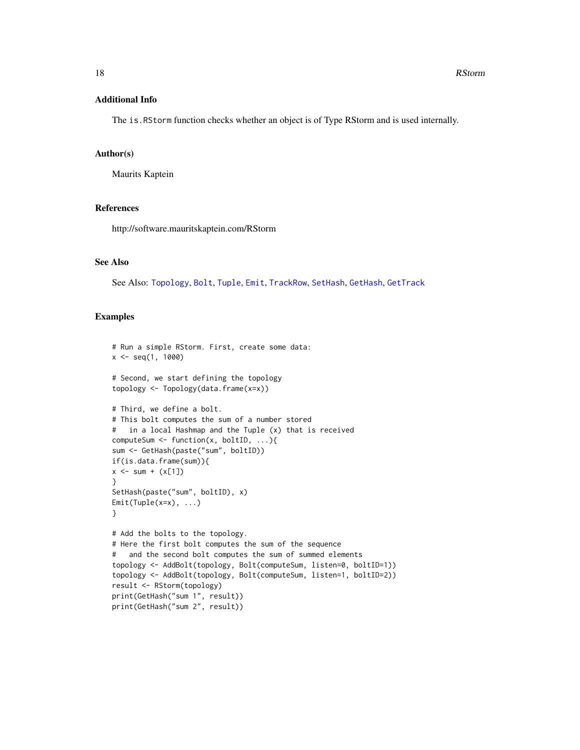#### <span id="page-17-0"></span>Additional Info

The is.RStorm function checks whether an object is of Type RStorm and is used internally.

#### Author(s)

Maurits Kaptein

# References

http://software.mauritskaptein.com/RStorm

#### See Also

See Also: [Topology](#page-21-1), [Bolt](#page-6-1), [Tuple](#page-24-1), [Emit](#page-8-1), [TrackRow](#page-23-1), [SetHash](#page-19-1), [GetHash](#page-10-1), [GetTrack](#page-13-1)

```
# Run a simple RStorm. First, create some data:
x \leq - seq(1, 1000)
# Second, we start defining the topology
topology <- Topology(data.frame(x=x))
# Third, we define a bolt.
# This bolt computes the sum of a number stored
# in a local Hashmap and the Tuple (x) that is received
computeSum <- function(x, boltID, ...){
sum <- GetHash(paste("sum", boltID))
if(is.data.frame(sum)){
x \le - \text{ sum } + (\text{x[1]})}
SetHash(paste("sum", boltID), x)
Emit(Tuple(x=x), ...)
}
# Add the bolts to the topology.
# Here the first bolt computes the sum of the sequence
# and the second bolt computes the sum of summed elements
topology <- AddBolt(topology, Bolt(computeSum, listen=0, boltID=1))
topology <- AddBolt(topology, Bolt(computeSum, listen=1, boltID=2))
result <- RStorm(topology)
print(GetHash("sum 1", result))
print(GetHash("sum 2", result))
```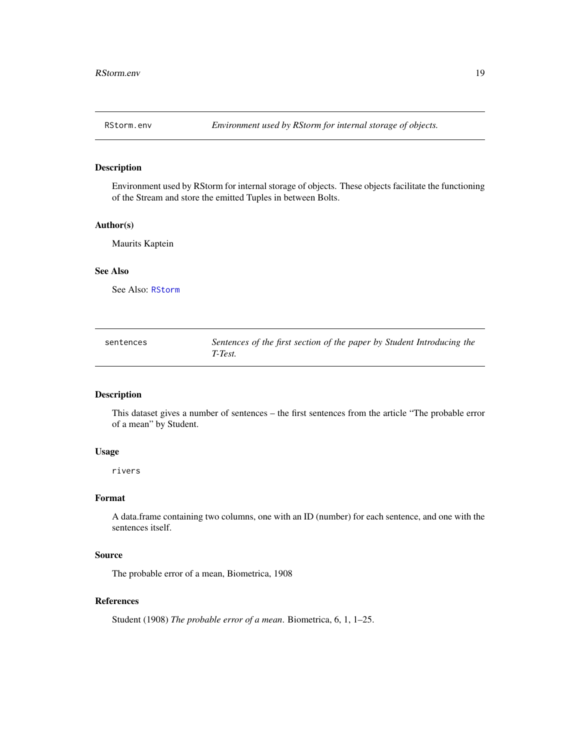<span id="page-18-0"></span>

Environment used by RStorm for internal storage of objects. These objects facilitate the functioning of the Stream and store the emitted Tuples in between Bolts.

#### Author(s)

Maurits Kaptein

# See Also

See Also: [RStorm](#page-16-1)

| sentences | Sentences of the first section of the paper by Student Introducing the |
|-----------|------------------------------------------------------------------------|
|           | T-Test.                                                                |

#### Description

This dataset gives a number of sentences – the first sentences from the article "The probable error of a mean" by Student.

#### Usage

rivers

#### Format

A data.frame containing two columns, one with an ID (number) for each sentence, and one with the sentences itself.

#### Source

The probable error of a mean, Biometrica, 1908

# References

Student (1908) *The probable error of a mean*. Biometrica, 6, 1, 1–25.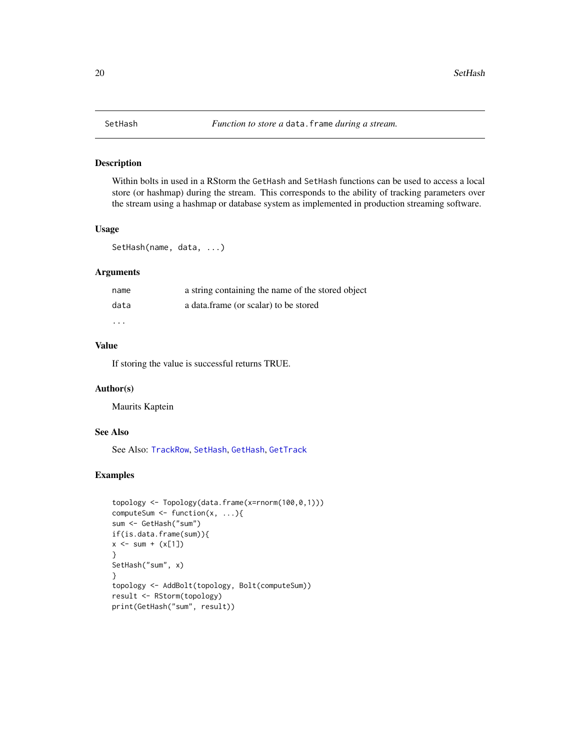<span id="page-19-1"></span><span id="page-19-0"></span>Within bolts in used in a RStorm the GetHash and SetHash functions can be used to access a local store (or hashmap) during the stream. This corresponds to the ability of tracking parameters over the stream using a hashmap or database system as implemented in production streaming software.

# Usage

```
SetHash(name, data, ...)
```
#### Arguments

| name    | a string containing the name of the stored object |
|---------|---------------------------------------------------|
| data    | a data.frame (or scalar) to be stored             |
| $\cdot$ |                                                   |

# Value

If storing the value is successful returns TRUE.

# Author(s)

Maurits Kaptein

#### See Also

See Also: [TrackRow](#page-23-1), [SetHash](#page-19-1), [GetHash](#page-10-1), [GetTrack](#page-13-1)

```
topology <- Topology(data.frame(x=rnorm(100,0,1)))
computeSum \leq function(x, ...){
sum <- GetHash("sum")
if(is.data.frame(sum)){
x \le - sum + (x[1])}
SetHash("sum", x)
}
topology <- AddBolt(topology, Bolt(computeSum))
result <- RStorm(topology)
print(GetHash("sum", result))
```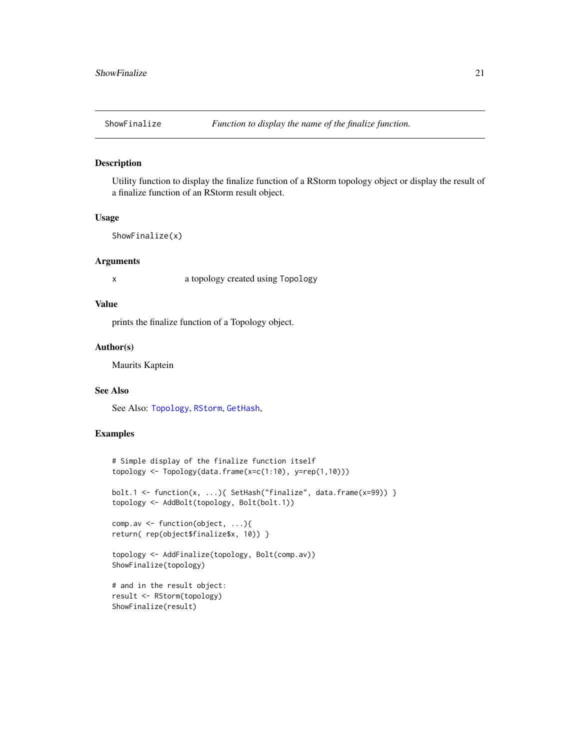<span id="page-20-0"></span>

Utility function to display the finalize function of a RStorm topology object or display the result of a finalize function of an RStorm result object.

# Usage

```
ShowFinalize(x)
```
#### Arguments

x a topology created using Topology

#### Value

prints the finalize function of a Topology object.

#### Author(s)

Maurits Kaptein

# See Also

See Also: [Topology](#page-21-1), [RStorm](#page-16-1), [GetHash](#page-10-1),

```
# Simple display of the finalize function itself
topology <- Topology(data.frame(x=c(1:10), y=rep(1,10)))
bolt.1 <- function(x, ...){ SetHash("finalize", data.frame(x=99)) }
topology <- AddBolt(topology, Bolt(bolt.1))
comp.av <- function(object, ...){
return( rep(object$finalize$x, 10)) }
topology <- AddFinalize(topology, Bolt(comp.av))
ShowFinalize(topology)
# and in the result object:
result <- RStorm(topology)
ShowFinalize(result)
```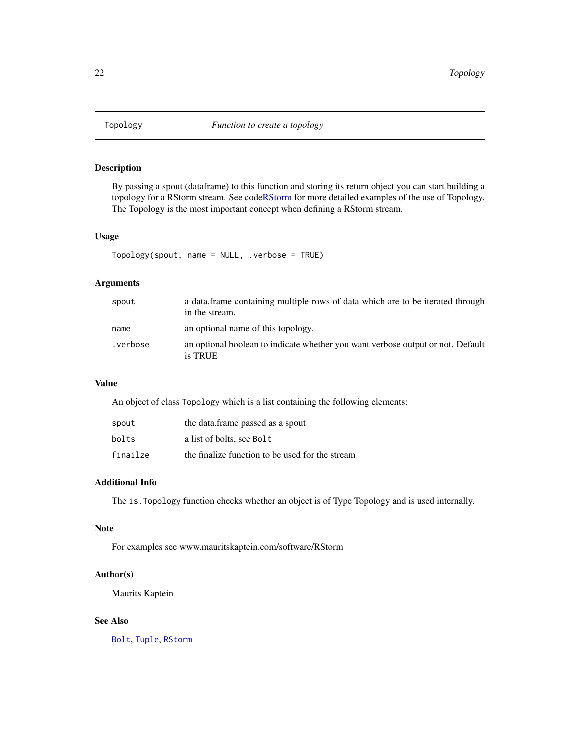<span id="page-21-1"></span><span id="page-21-0"></span>

By passing a spout (dataframe) to this function and storing its return object you can start building a topology for a RStorm stream. See cod[eRStorm](#page-16-1) for more detailed examples of the use of Topology. The Topology is the most important concept when defining a RStorm stream.

#### Usage

```
Topology(spout, name = NULL, .verbose = TRUE)
```
# Arguments

| spout    | a data frame containing multiple rows of data which are to be iterated through<br>in the stream. |
|----------|--------------------------------------------------------------------------------------------------|
| name     | an optional name of this topology.                                                               |
| .verbose | an optional boolean to indicate whether you want verbose output or not. Default<br>is TRUE       |

#### Value

An object of class Topology which is a list containing the following elements:

| spout    | the data.frame passed as a spout                |
|----------|-------------------------------------------------|
| bolts    | a list of bolts, see Bolt                       |
| finailze | the finalize function to be used for the stream |

#### Additional Info

The is.Topology function checks whether an object is of Type Topology and is used internally.

# Note

For examples see www.mauritskaptein.com/software/RStorm

## Author(s)

Maurits Kaptein

### See Also

[Bolt](#page-6-1), [Tuple](#page-24-1), [RStorm](#page-16-1)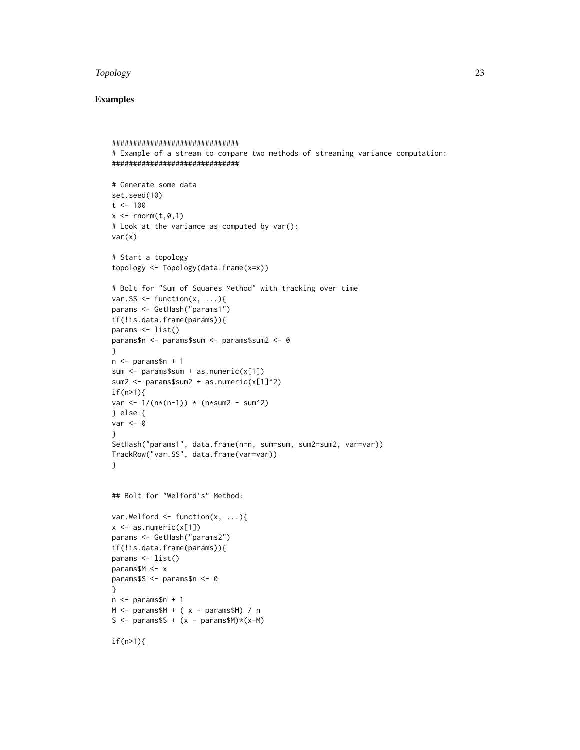#### Topology 23

```
##############################
# Example of a stream to compare two methods of streaming variance computation:
##############################
# Generate some data
set.seed(10)
t < -100x \leq rnorm(t, \emptyset, 1)# Look at the variance as computed by var():
var(x)
# Start a topology
topology <- Topology(data.frame(x=x))
# Bolt for "Sum of Squares Method" with tracking over time
var.SS \leq function(x, ...){
params <- GetHash("params1")
if(!is.data.frame(params)){
params <- list()
params$n <- params$sum <- params$sum2 <- 0
}
n <- params$n + 1
sum <- params$sum + as.numeric(x[1])
sum2 \leq - params$sum2 + as.numeric(x[1]^2)
if(n>1)var <- 1/(n*(n-1)) * (n*sum2 - sum^2)} else {
var < -0}
SetHash("params1", data.frame(n=n, sum=sum, sum2=sum2, var=var))
TrackRow("var.SS", data.frame(var=var))
}
## Bolt for "Welford's" Method:
var.Welford \leq function(x, ...){
x \leftarrow as.numeric(x[1])params <- GetHash("params2")
if(!is.data.frame(params)){
params <- list()
params$M <- x
params$S <- params$n <- 0
}
n <- params$n + 1
M \le - params$M + (x - params$M) / n
S \le params$S + (x - params$M) *(x-M)if(n>1){
```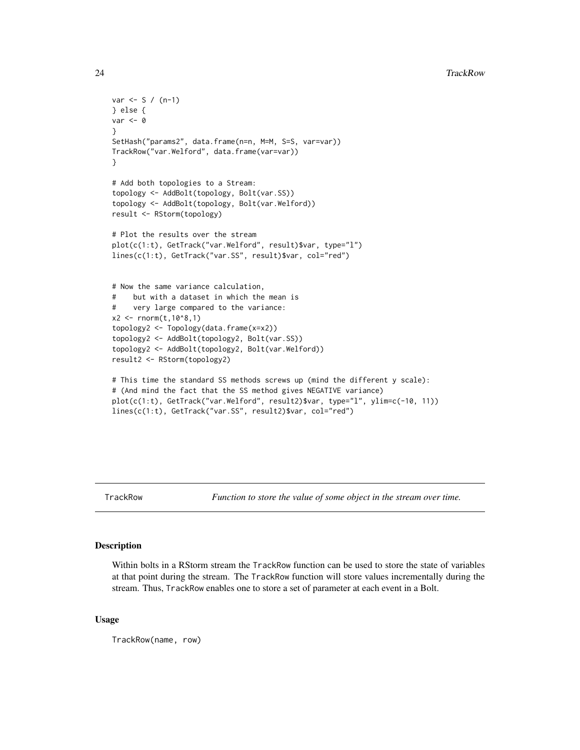```
var < - S / (n-1)} else {
var < -0}
SetHash("params2", data.frame(n=n, M=M, S=S, var=var))
TrackRow("var.Welford", data.frame(var=var))
}
# Add both topologies to a Stream:
topology <- AddBolt(topology, Bolt(var.SS))
topology <- AddBolt(topology, Bolt(var.Welford))
result <- RStorm(topology)
# Plot the results over the stream
plot(c(1:t), GetTrack("var.Welford", result)$var, type="l")
lines(c(1:t), GetTrack("var.SS", result)$var, col="red")
# Now the same variance calculation,
# but with a dataset in which the mean is
# very large compared to the variance:
x2 \le rnorm(t, 10^8, 1)
topology2 <- Topology(data.frame(x=x2))
topology2 <- AddBolt(topology2, Bolt(var.SS))
topology2 <- AddBolt(topology2, Bolt(var.Welford))
result2 <- RStorm(topology2)
# This time the standard SS methods screws up (mind the different y scale):
# (And mind the fact that the SS method gives NEGATIVE variance)
plot(c(1:t), GetTrack("var.Welford", result2)$var, type="l", ylim=c(-10, 11))
lines(c(1:t), GetTrack("var.SS", result2)$var, col="red")
```
<span id="page-23-1"></span>TrackRow *Function to store the value of some object in the stream over time.*

# **Description**

Within bolts in a RStorm stream the TrackRow function can be used to store the state of variables at that point during the stream. The TrackRow function will store values incrementally during the stream. Thus, TrackRow enables one to store a set of parameter at each event in a Bolt.

#### Usage

TrackRow(name, row)

<span id="page-23-0"></span>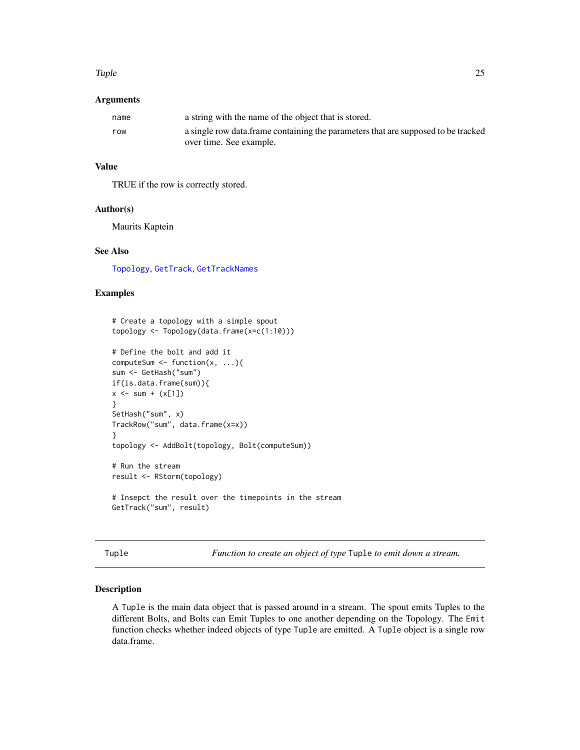#### <span id="page-24-0"></span>Tuple 25

#### **Arguments**

| name | a string with the name of the object that is stored.                               |
|------|------------------------------------------------------------------------------------|
| row  | a single row data. frame containing the parameters that are supposed to be tracked |
|      | over time. See example.                                                            |

# Value

TRUE if the row is correctly stored.

#### Author(s)

Maurits Kaptein

# See Also

[Topology](#page-21-1), [GetTrack](#page-13-1), [GetTrackNames](#page-14-1)

# Examples

```
# Create a topology with a simple spout
topology <- Topology(data.frame(x=c(1:10)))
# Define the bolt and add it
computeSum \leq function(x, ...){
sum <- GetHash("sum")
if(is.data.frame(sum)){
x \le - \text{sum} + (x[1])}
SetHash("sum", x)
TrackRow("sum", data.frame(x=x))
}
topology <- AddBolt(topology, Bolt(computeSum))
# Run the stream
result <- RStorm(topology)
# Insepct the result over the timepoints in the stream
```

```
GetTrack("sum", result)
```
<span id="page-24-1"></span>

Function to create an object of type Tuple to emit down a stream.

# Description

A Tuple is the main data object that is passed around in a stream. The spout emits Tuples to the different Bolts, and Bolts can Emit Tuples to one another depending on the Topology. The Emit function checks whether indeed objects of type Tuple are emitted. A Tuple object is a single row data.frame.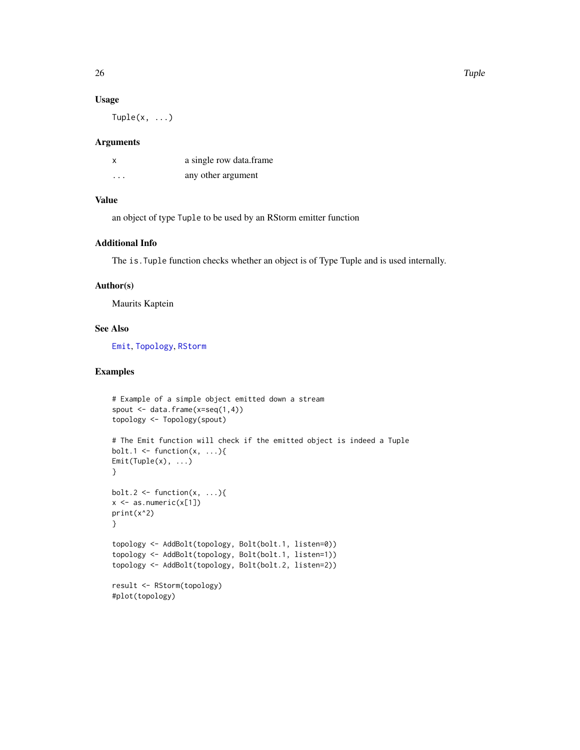#### Usage

 $Tuple(x, \ldots)$ 

#### Arguments

| X        | a single row data.frame |
|----------|-------------------------|
| $\cdots$ | any other argument      |

#### Value

an object of type Tuple to be used by an RStorm emitter function

# Additional Info

The is.Tuple function checks whether an object is of Type Tuple and is used internally.

# Author(s)

Maurits Kaptein

# See Also

[Emit](#page-8-1), [Topology](#page-21-1), [RStorm](#page-16-1)

```
# Example of a simple object emitted down a stream
spout \leq data.frame(x=seq(1,4))
topology <- Topology(spout)
# The Emit function will check if the emitted object is indeed a Tuple
bolt.1 <- function(x, ...){
Emit(Tuple(x), ...)
}
bolt.2 <- function(x, \ldots){
x \leftarrow as.numeric(x[1])print(x^2)
}
topology <- AddBolt(topology, Bolt(bolt.1, listen=0))
topology <- AddBolt(topology, Bolt(bolt.1, listen=1))
topology <- AddBolt(topology, Bolt(bolt.2, listen=2))
result <- RStorm(topology)
#plot(topology)
```
<span id="page-25-0"></span>